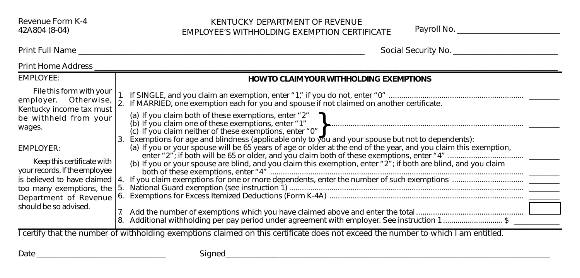## KENTUCKY DEPARTMENT OF REVENUE EMPLOYEE'S WITHHOLDING EXEMPTION CERTIFICATE Payroll No. \_\_\_\_\_\_\_\_\_\_\_\_\_\_\_\_\_\_\_\_\_\_\_\_\_\_

Print Full Name \_\_\_\_\_\_\_\_\_\_\_\_\_\_\_\_\_\_\_\_\_\_\_\_\_\_\_\_\_\_\_\_\_\_\_\_\_\_\_\_\_\_\_\_\_\_\_\_\_\_\_\_\_\_\_\_\_\_\_\_\_\_\_\_\_\_\_\_\_\_\_ Social Security No. \_\_\_\_\_\_\_\_\_\_\_\_\_\_\_\_\_\_\_\_\_\_\_\_\_\_

| <b>Print Home Address</b>                                                                                                          |                                                                                                                                                                                                                                                                                                                                              |
|------------------------------------------------------------------------------------------------------------------------------------|----------------------------------------------------------------------------------------------------------------------------------------------------------------------------------------------------------------------------------------------------------------------------------------------------------------------------------------------|
| EMPLOYEE:                                                                                                                          | <b>HOW TO CLAIM YOUR WITHHOLDING EXEMPTIONS</b>                                                                                                                                                                                                                                                                                              |
| File this form with your<br>employer. Otherwise,<br>Kentucky income tax must                                                       | If MARRIED, one exemption each for you and spouse if not claimed on another certificate.                                                                                                                                                                                                                                                     |
| be withheld from your<br>wages.                                                                                                    | (a) If you claim both of these exemptions, enter "2"<br>(c) If you claim neither of these exemptions, enter "0"                                                                                                                                                                                                                              |
| EMPLOYER:<br>Keep this certificate with<br>your records. If the employee<br>is believed to have claimed 14.                        | Exemptions for age and blindness (applicable only to you and your spouse but not to dependents):<br>3.<br>(a) If you or your spouse will be 65 years of age or older at the end of the year, and you claim this exemption,<br>(b) If you or your spouse are blind, and you claim this exemption, enter "2"; if both are blind, and you claim |
| too many exemptions, the<br>Department of Revenue                                                                                  | National Guard exemption (see instruction 1) Materian Communication and Cuard exemption (see instruction 1)<br>15<br>6.                                                                                                                                                                                                                      |
| should be so advised.                                                                                                              | 7.<br>Additional withholding per pay period under agreement with employer. See instruction 1\$                                                                                                                                                                                                                                               |
| I certify that the number of withholding exemptions claimed on this certificate does not exceed the number to which I am entitled. |                                                                                                                                                                                                                                                                                                                                              |